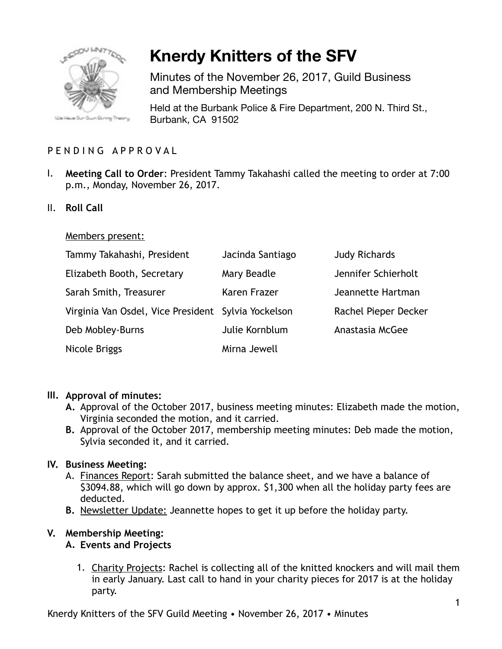

# **Knerdy Knitters of the SFV**

Minutes of the November 26, 2017, Guild Business and Membership Meetings

Held at the Burbank Police & Fire Department, 200 N. Third St., Burbank, CA 91502

# PENDING APPROVAL

- I. **Meeting Call to Order**: President Tammy Takahashi called the meeting to order at 7:00 p.m., Monday, November 26, 2017.
- II. **Roll Call**

#### Members present:

| Tammy Takahashi, President                          | Jacinda Santiago | <b>Judy Richards</b> |
|-----------------------------------------------------|------------------|----------------------|
| Elizabeth Booth, Secretary                          | Mary Beadle      | Jennifer Schierholt  |
| Sarah Smith, Treasurer                              | Karen Frazer     | Jeannette Hartman    |
| Virginia Van Osdel, Vice President Sylvia Yockelson |                  | Rachel Pieper Decker |
| Deb Mobley-Burns                                    | Julie Kornblum   | Anastasia McGee      |
| Nicole Briggs                                       | Mirna Jewell     |                      |

## **III. Approval of minutes:**

- **A.** Approval of the October 2017, business meeting minutes: Elizabeth made the motion, Virginia seconded the motion, and it carried.
- **B.** Approval of the October 2017, membership meeting minutes: Deb made the motion, Sylvia seconded it, and it carried.

## **IV. Business Meeting:**

- A. Finances Report: Sarah submitted the balance sheet, and we have a balance of \$3094.88, which will go down by approx. \$1,300 when all the holiday party fees are deducted.
- **B.** Newsletter Update: Jeannette hopes to get it up before the holiday party.

## **V. Membership Meeting:**

## **A. Events and Projects**

1. Charity Projects: Rachel is collecting all of the knitted knockers and will mail them in early January. Last call to hand in your charity pieces for 2017 is at the holiday party.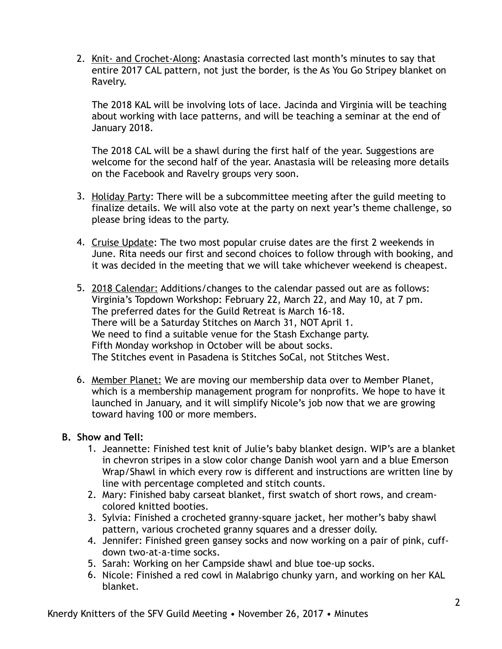2. Knit- and Crochet-Along: Anastasia corrected last month's minutes to say that entire 2017 CAL pattern, not just the border, is the As You Go Stripey blanket on Ravelry.

The 2018 KAL will be involving lots of lace. Jacinda and Virginia will be teaching about working with lace patterns, and will be teaching a seminar at the end of January 2018.

The 2018 CAL will be a shawl during the first half of the year. Suggestions are welcome for the second half of the year. Anastasia will be releasing more details on the Facebook and Ravelry groups very soon.

- 3. Holiday Party: There will be a subcommittee meeting after the guild meeting to finalize details. We will also vote at the party on next year's theme challenge, so please bring ideas to the party.
- 4. Cruise Update: The two most popular cruise dates are the first 2 weekends in June. Rita needs our first and second choices to follow through with booking, and it was decided in the meeting that we will take whichever weekend is cheapest.
- 5. 2018 Calendar: Additions/changes to the calendar passed out are as follows: Virginia's Topdown Workshop: February 22, March 22, and May 10, at 7 pm. The preferred dates for the Guild Retreat is March 16-18. There will be a Saturday Stitches on March 31, NOT April 1. We need to find a suitable venue for the Stash Exchange party. Fifth Monday workshop in October will be about socks. The Stitches event in Pasadena is Stitches SoCal, not Stitches West.
- 6. Member Planet: We are moving our membership data over to Member Planet, which is a membership management program for nonprofits. We hope to have it launched in January, and it will simplify Nicole's job now that we are growing toward having 100 or more members.

## **B. Show and Tell:**

- 1. Jeannette: Finished test knit of Julie's baby blanket design. WIP's are a blanket in chevron stripes in a slow color change Danish wool yarn and a blue Emerson Wrap/Shawl in which every row is different and instructions are written line by line with percentage completed and stitch counts.
- 2. Mary: Finished baby carseat blanket, first swatch of short rows, and creamcolored knitted booties.
- 3. Sylvia: Finished a crocheted granny-square jacket, her mother's baby shawl pattern, various crocheted granny squares and a dresser doily.
- 4. Jennifer: Finished green gansey socks and now working on a pair of pink, cuffdown two-at-a-time socks.
- 5. Sarah: Working on her Campside shawl and blue toe-up socks.
- 6. Nicole: Finished a red cowl in Malabrigo chunky yarn, and working on her KAL blanket.